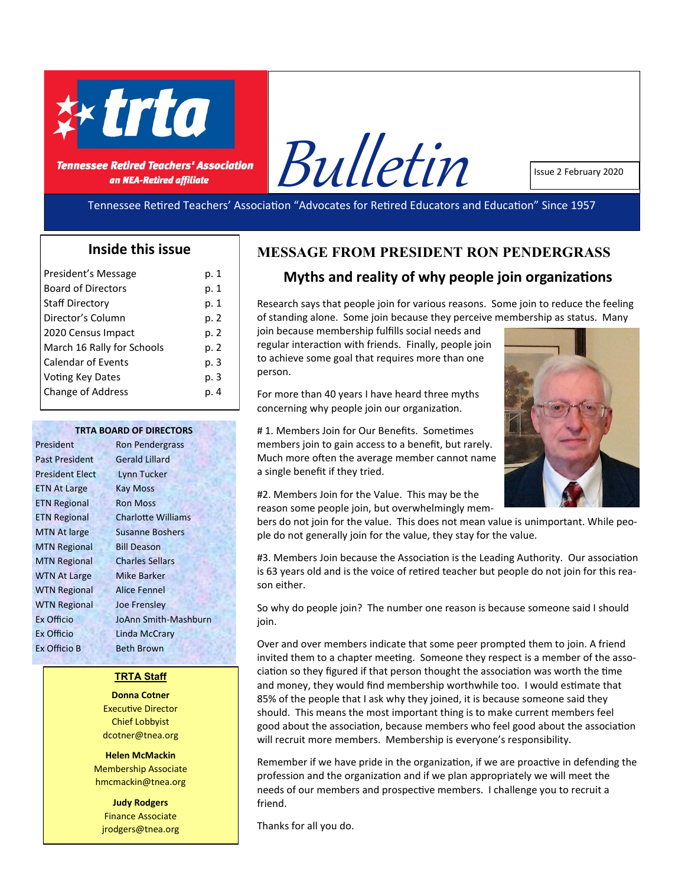

**Tennessee Retired Teachers' Association** an NEA-Retired affiliate



Issue 2 February 2020

Tennessee Retired Teachers' Association "Advocates for Retired Educators and Education" Since 1957

### **Inside this issue**

| President's Message        | p. 1 |
|----------------------------|------|
| <b>Board of Directors</b>  | p. 1 |
| <b>Staff Directory</b>     | p. 1 |
| Director's Column          | p. 2 |
| 2020 Census Impact         | p. 2 |
| March 16 Rally for Schools | p. 2 |
| <b>Calendar of Events</b>  | p. 3 |
| <b>Voting Key Dates</b>    | p. 3 |
| <b>Change of Address</b>   | p. 4 |
|                            |      |

#### **TRTA BOARD OF DIRECTORS**

Past President Gerald Lillard President Elect Lynn Tucker ETN At Large Kay Moss ETN Regional Ron Moss MTN Regional Bill Deason MTN Regional Charles Sellars WTN At Large Mike Barker WTN Regional Alice Fennel WTN Regional Joe Frensley Ex Officio Linda McCrary Ex Officio B Beth Brown

President Ron Pendergrass ETN Regional Charlotte Williams MTN At large Susanne Boshers Ex Officio JoAnn Smith-Mashburn

#### **TRTA Staff**

**Donna Cotner**  Executive Director Chief Lobbyist dcotner@tnea.org

**Helen McMackin** Membership Associate hmcmackin@tnea.org

**Judy Rodgers** Finance Associate jrodgers@tnea.org

# **MESSAGE FROM PRESIDENT RON PENDERGRASS**

## **Myths and reality of why people join organizations**

Research says that people join for various reasons. Some join to reduce the feeling of standing alone. Some join because they perceive membership as status. Many

join because membership fulfills social needs and regular interaction with friends. Finally, people join to achieve some goal that requires more than one person.

For more than 40 years I have heard three myths concerning why people join our organization.

# 1. Members Join for Our Benefits. Sometimes members join to gain access to a benefit, but rarely. Much more often the average member cannot name a single benefit if they tried.



#2. Members Join for the Value. This may be the reason some people join, but overwhelmingly mem-

bers do not join for the value. This does not mean value is unimportant. While people do not generally join for the value, they stay for the value.

#3. Members Join because the Association is the Leading Authority. Our association is 63 years old and is the voice of retired teacher but people do not join for this reason either.

So why do people join? The number one reason is because someone said I should join.

Over and over members indicate that some peer prompted them to join. A friend invited them to a chapter meeting. Someone they respect is a member of the association so they figured if that person thought the association was worth the time and money, they would find membership worthwhile too. I would estimate that 85% of the people that I ask why they joined, it is because someone said they should. This means the most important thing is to make current members feel good about the association, because members who feel good about the association will recruit more members. Membership is everyone's responsibility.

Remember if we have pride in the organization, if we are proactive in defending the profession and the organization and if we plan appropriately we will meet the needs of our members and prospective members. I challenge you to recruit a friend.

Thanks for all you do.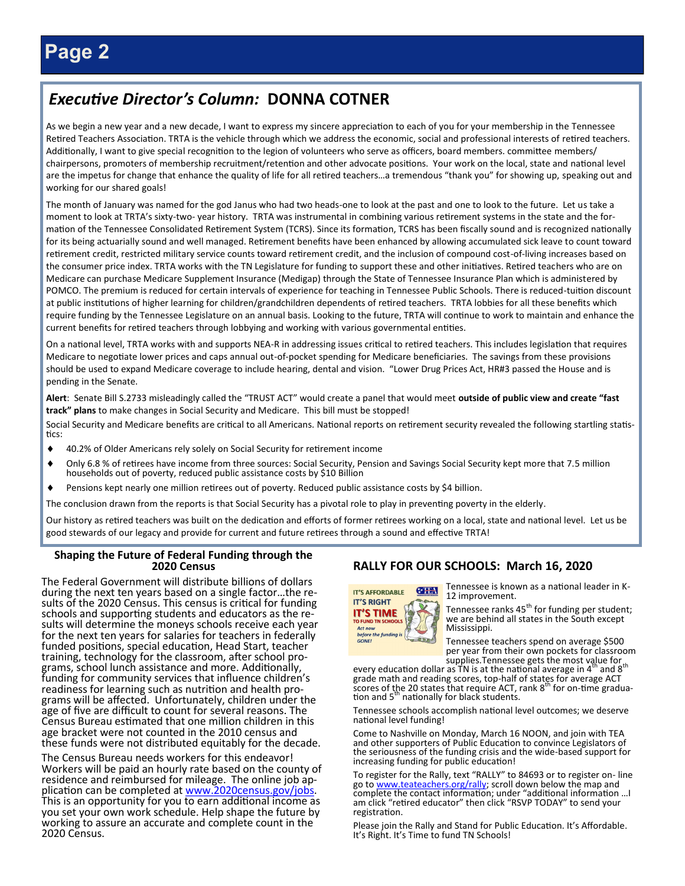# *Executive Director's Column:* **DONNA COTNER**

As we begin a new year and a new decade, I want to express my sincere appreciation to each of you for your membership in the Tennessee Retired Teachers Association. TRTA is the vehicle through which we address the economic, social and professional interests of retired teachers. Additionally, I want to give special recognition to the legion of volunteers who serve as officers, board members. committee members/ chairpersons, promoters of membership recruitment/retention and other advocate positions. Your work on the local, state and national level are the impetus for change that enhance the quality of life for all retired teachers...a tremendous "thank you" for showing up, speaking out and working for our shared goals!

The month of January was named for the god Janus who had two heads-one to look at the past and one to look to the future. Let us take a moment to look at TRTA's sixty-two- year history. TRTA was instrumental in combining various retirement systems in the state and the formation of the Tennessee Consolidated Retirement System (TCRS). Since its formation, TCRS has been fiscally sound and is recognized nationally for its being actuarially sound and well managed. Retirement benefits have been enhanced by allowing accumulated sick leave to count toward retirement credit, restricted military service counts toward retirement credit, and the inclusion of compound cost-of-living increases based on the consumer price index. TRTA works with the TN Legislature for funding to support these and other initiatives. Retired teachers who are on Medicare can purchase Medicare Supplement Insurance (Medigap) through the State of Tennessee Insurance Plan which is administered by POMCO. The premium is reduced for certain intervals of experience for teaching in Tennessee Public Schools. There is reduced-tuition discount at public institutions of higher learning for children/grandchildren dependents of retired teachers. TRTA lobbies for all these benefits which require funding by the Tennessee Legislature on an annual basis. Looking to the future, TRTA will continue to work to maintain and enhance the current benefits for retired teachers through lobbying and working with various governmental entities.

On a national level, TRTA works with and supports NEA-R in addressing issues critical to retired teachers. This includes legislation that requires Medicare to negotiate lower prices and caps annual out-of-pocket spending for Medicare beneficiaries. The savings from these provisions should be used to expand Medicare coverage to include hearing, dental and vision. "Lower Drug Prices Act, HR#3 passed the House and is pending in the Senate.

**Alert**: Senate Bill S.2733 misleadingly called the "TRUST ACT" would create a panel that would meet **outside of public view and create "fast track" plans** to make changes in Social Security and Medicare. This bill must be stopped!

Social Security and Medicare benefits are critical to all Americans. National reports on retirement security revealed the following startling statistics:

- 40.2% of Older Americans rely solely on Social Security for retirement income
- Only 6.8 % of retirees have income from three sources: Social Security, Pension and Savings Social Security kept more that 7.5 million households out of poverty, reduced public assistance costs by \$10 Billion
- Pensions kept nearly one million retirees out of poverty. Reduced public assistance costs by \$4 billion.

The conclusion drawn from the reports is that Social Security has a pivotal role to play in preventing poverty in the elderly.

Our history as retired teachers was built on the dedication and efforts of former retirees working on a local, state and national level. Let us be good stewards of our legacy and provide for current and future retirees through a sound and effective TRTA!

#### **Shaping the Future of Federal Funding through the 2020 Census**

The Federal Government will distribute billions of dollars during the next ten years based on a single factor…the results of the 2020 Census. This census is critical for funding schools and supporting students and educators as the results will determine the moneys schools receive each year for the next ten years for salaries for teachers in federally funded positions, special education, Head Start, teacher training, technology for the classroom, after school programs, school lunch assistance and more. Additionally, funding for community services that influence children's readiness for learning such as nutrition and health programs will be affected. Unfortunately, children under the age of five are difficult to count for several reasons. The Census Bureau estimated that one million children in this age bracket were not counted in the 2010 census and these funds were not distributed equitably for the decade.

The Census Bureau needs workers for this endeavor! Workers will be paid an hourly rate based on the county of residence and reimbursed for mileage. The online job application can be completed at [www.2020census.gov/jobs.](http://www.2020census.gov/jobs) This is an opportunity for you to earn additional income as you set your own work schedule. Help shape the future by working to assure an accurate and complete count in the 2020 Census.

#### **RALLY FOR OUR SCHOOLS: March 16, 2020**



Tennessee is known as a national leader in K-12 improvement.

Tennessee ranks 45<sup>th</sup> for funding per student; we are behind all states in the South except Mississippi.

Tennessee teachers spend on average \$500 per year from their own pockets for classroom

supplies.Tennessee gets the most value for updies.<br>Here ational average in 4<sup>th</sup> and 8<sup>th</sup> every education dollar as TN is at the national average in 4<sup>th</sup> and 8<sup>th</sup> grade math and reading scores, top-half of states for average ACT<br>scores of the 20 states that require ACT, rank 8<sup>th</sup> for on-time graduation and  $5<sup>m</sup>$  nationally for black students.

Tennessee schools accomplish national level outcomes; we deserve national level funding!

Come to Nashville on Monday, March 16 NOON, and join with TEA and other supporters of Public Education to convince Legislators of the seriousness of the funding crisis and the wide-based support for increasing funding for public education!

To register for the Rally, text "RALLY" to 84693 or to register on- line go to [www.teateachers.org/rally;](http://www.teateachers.org/rally) scroll down below the map and complete the contact information; under "additional information …I am click "retired educator" then click "RSVP TODAY" to send your registration.

Please join the Rally and Stand for Public Education. It's Affordable. It's Right. It's Time to fund TN Schools!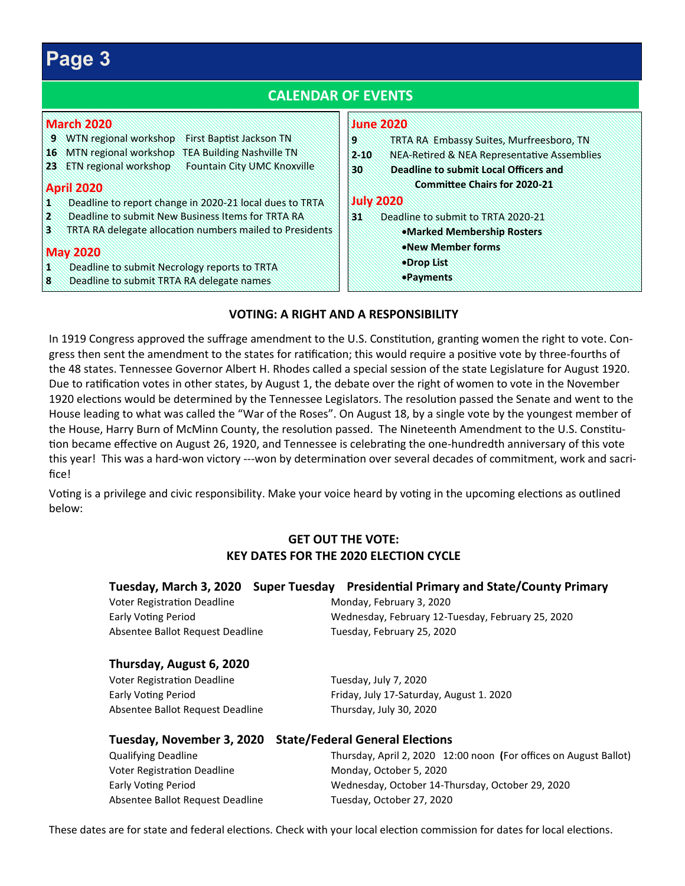# **Page 3**

#### **CALENDAR OF EVENTS March 2020 9** WTN regional workshop First Baptist Jackson TN **16** MTN regional workshop TEA Building Nashville TN **23** ETN regional workshop Fountain City UMC Knoxville **April 2020 1** Deadline to report change in 2020-21 local dues to TRTA **2** Deadline to submit New Business Items for TRTA RA **3** TRTA RA delegate allocation numbers mailed to Presidents **May 2020 1** Deadline to submit Necrology reports to TRTA **8** Deadline to submit TRTA RA delegate names **June 2020 9** TRTA RA Embassy Suites, Murfreesboro, TN **2-10** NEA-Retired & NEA Representative Assemblies **30 Deadline to submit Local Officers and Committee Chairs for 2020-21 July 2020 31** Deadline to submit to TRTA 2020-21 •**Marked Membership Rosters** •**New Member forms**  •**Drop List**  •**Payments**

## **VOTING: A RIGHT AND A RESPONSIBILITY**

In 1919 Congress approved the suffrage amendment to the U.S. Constitution, granting women the right to vote. Congress then sent the amendment to the states for ratification; this would require a positive vote by three-fourths of the 48 states. Tennessee Governor Albert H. Rhodes called a special session of the state Legislature for August 1920. Due to ratification votes in other states, by August 1, the debate over the right of women to vote in the November 1920 elections would be determined by the Tennessee Legislators. The resolution passed the Senate and went to the House leading to what was called the "War of the Roses". On August 18, by a single vote by the youngest member of the House, Harry Burn of McMinn County, the resolution passed. The Nineteenth Amendment to the U.S. Constitution became effective on August 26, 1920, and Tennessee is celebrating the one-hundredth anniversary of this vote this year! This was a hard-won victory ---won by determination over several decades of commitment, work and sacrifice!

Voting is a privilege and civic responsibility. Make your voice heard by voting in the upcoming elections as outlined below:

## **GET OUT THE VOTE: KEY DATES FOR THE 2020 ELECTION CYCLE**

|                                  | Tuesday, March 3, 2020 Super Tuesday Presidential Primary and State/County Primary |
|----------------------------------|------------------------------------------------------------------------------------|
| Voter Registration Deadline      | Monday, February 3, 2020                                                           |
| <b>Early Voting Period</b>       | Wednesday, February 12-Tuesday, February 25, 2020                                  |
| Absentee Ballot Request Deadline | Tuesday, February 25, 2020                                                         |
| Thursday, August 6, 2020         |                                                                                    |
| Voter Registration Deadline      | Tuesday, July 7, 2020                                                              |

Absentee Ballot Request Deadline Thursday, July 30, 2020

# Early Voting Period **Friday, July 17-Saturday, August 1. 2020**

|                                    | Tuesday, November 3, 2020 State/Federal General Elections         |
|------------------------------------|-------------------------------------------------------------------|
| <b>Qualifying Deadline</b>         | Thursday, April 2, 2020 12:00 noon (For offices on August Ballot) |
| <b>Voter Registration Deadline</b> | Monday, October 5, 2020                                           |
| <b>Early Voting Period</b>         | Wednesday, October 14-Thursday, October 29, 2020                  |
| Absentee Ballot Request Deadline   | Tuesday, October 27, 2020                                         |

These dates are for state and federal elections. Check with your local election commission for dates for local elections.